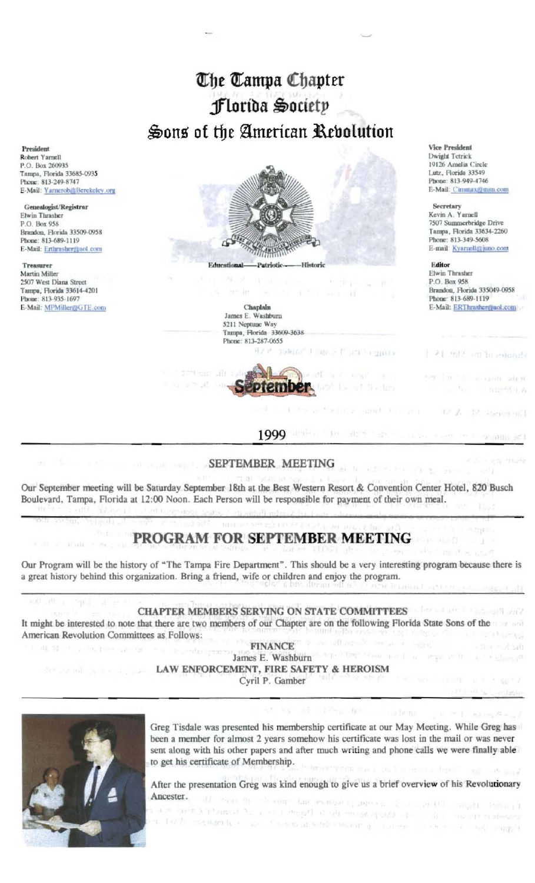# The Tampa Chapter Florida Society Sons of the American Revolution

President Robert Yarnell P.O. Box 260935 Tampa, Florida 33685-0935 Phone: 813-249-8747 E-Mail: Yarnerob@Berekeley.org

Genealogist/Registrar Elwin Thrasher P.O. Box 958 Brandon, Florida 33509-0958 Phone: 813-689-1119 E-Mail: Erthrasher@aol.com

Treasurer Martin Miller 2507 West Diana Street Таппра, Florida 33614-4201<br>Phone: 813-935-1697 E-Mail: MPMillen@GTE.com



Chaplain James E. Washburn 5211 Neptune Way Tampa, Florida 33609-3638 Phone: 813-287-0655 Toldon" France Plutt Tolgarish



**Vice President** Dwight Tetrick 19126 Amelia Circle Lutz, Florida 33549 Phone: 813-949-4746 E-Mail: Cimmax@msn.com

#### Secretary

Kevin A. Yarnell 7507 Summerbridge Drive Тапра, Florida 33634-2260 Phone: 813-349-5608 E-mail: Kvarnell@juno.com

#### Editor

easy." are

 $-1.16$ 

with the company

**ROBERTS** 

Elwin Thrasher P.O. Box 958 Brandon, Florida 335049-0958 Phone: 813-689-1119 E-Mail: ERThrasher@aol.com

1 PE Hill will to entimate

service a contrader

MP 21 12 Renner 961

-T

 $100 \text{ m/s} \approx 0.1 \text{ m}^2$ 

 $-$  angle  $\alpha$ 

 $\mathcal{A}=\mathcal{A}_{\mathcal{A}(\mathcal{A})}$ 

### 1999

### SEPTEMBER MEETING

Our September meeting will be Saturday September 18th at the Best Western Resort & Convention Center Hotel, 820 Busch Boulevard, Tampa, Florida at 12:00 Noon. Each Person will be responsible for payment of their own meal.

## PROGRAM FOR SEPTEMBER MEETING

Our Program will be the history of "The Tampa Fire Department". This should be a very interesting program because there is a great history behind this organization. Bring a friend, wife or children and enjoy the program.

# **CHAPTER MEMBERS SERVING ON STATE COMMITTEES**

It might be interested to note that there are two members of our Chapter are on the following Florida State Sons of the the most will have the community by each American Revolution Committees as Follows: **FINANCE**  $-2 \times 0.8$  SrB de 53 - 1 - 2 - 90 foot not the companies

James E. Washburn Care Check Court Line Line Line Print, and the Line Print, and **LAW ENFORCEMENT, FIRE SAFETY & HEROISM** Cyril P. Gamber

Greg Tisdale was presented his membership certificate at our May Meeting. While Greg has been a member for almost 2 years somehow his certificate was lost in the mail or was never sent along with his other papers and after much writing and phone calls we were finally able to get his certificate of Membership.

After the presentation Greg was kind enough to give us a brief overview of his Revolutionary Ancester. All these the choicents that anomalously superiors that a set CP is negative theory in

and start and a control of the process and the problem in the second start of the second start of the second a. Let'le consumite so we allow at while we can go a consumer a solution of a super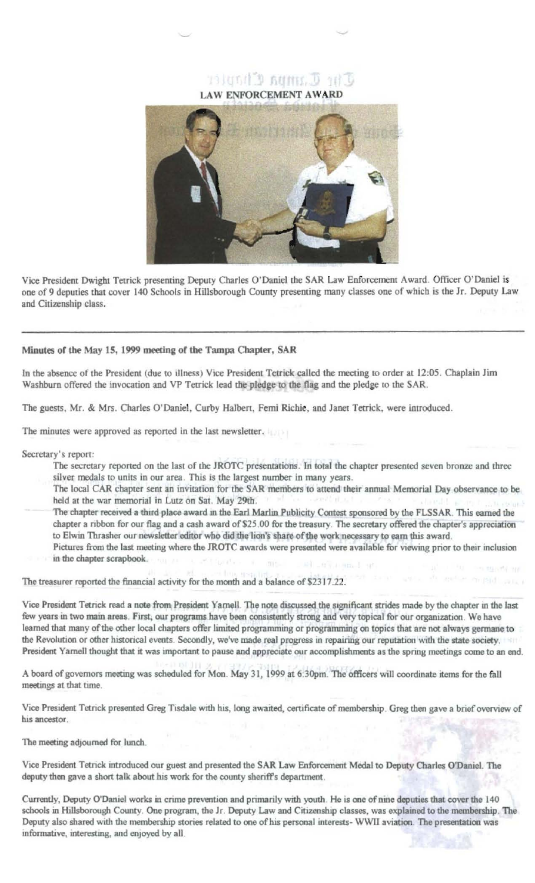### The Campa Chopler **LAW ENFORCEMENT AWARD**



Vice President Dwight Tetrick presenting Deputy Charles O'Daniel the SAR Law Enforcement Award. Officer O'Daniel is one of 9 deputies that cover 140 Schools in Hillsborough County presenting many classes one of which is the Jr. Deputy Law and Citizenship class.

#### Minutes of the May 15, 1999 meeting of the Tampa Chapter, SAR

In the absence of the President (due to illness) Vice President Tetrick called the meeting to order at 12:05. Chaplain Jim Washburn offered the invocation and VP Tetrick lead the pledge to the flag and the pledge to the SAR.

The guests, Mr. & Mrs. Charles O'Daniel, Curby Halbert, Femi Richie, and Janet Tetrick, were introduced.

The minutes were approved as reported in the last newsletter.

Secretary's report:

- The secretary reported on the last of the JROTC presentations. In total the chapter presented seven bronze and three silver medals to units in our area. This is the largest number in many years.
- The local CAR chapter sent an invitation for the SAR members to attend their annual Memorial Day observance to be held at the war memorial in Lutz on Sat. May 29th.
- The chapter received a third place award in the Earl Marlin Publicity Contest sponsored by the FLSSAR. This earned the chapter a ribbon for our flag and a cash award of \$25.00 for the treasury. The secretary offered the chapter's appreciation to Elwin Thrasher our newsletter editor who did the lion's share of the work necessary to earn this award. Pictures from the last meeting where the JROTC awards were presented were available for viewing prior to their inclusion
- in the chapter scrapbook.

The treasurer reported the financial activity for the month and a balance of \$2317.22.

Vice President Tetrick read a note from President Yarnell. The note discussed the significant strides made by the chapter in the last few years in two main areas. First, our programs have been consistently strong and very topical for our organization. We have learned that many of the other local chapters offer limited programming or programming on topics that are not always germane to the Revolution or other historical events. Secondly, we've made real progress in repairing our reputation with the state society. President Yarnell thought that it was important to pause and appreciate our accomplishments as the spring meetings come to an end.

A board of governors meeting was scheduled for Mon. May 31, 1999 at 6:30pm. The officers will coordinate items for the fall meetings at that time.

Vice President Tetrick presented Greg Tisdale with his, long awaited, certificate of membership. Greg then gave a brief overview of his ancestor.

The meeting adjourned for lunch.

Vice President Tetrick introduced our guest and presented the SAR Law Enforcement Medal to Deputy Charles O'Daniel. The deputy then gave a short talk about his work for the county sheriff's department.

Currently, Deputy O'Daniel works in crime prevention and primarily with youth. He is one of nine deputies that cover the 140 schools in Hillsborough County. One program, the Jr. Deputy Law and Citizenship classes, was explained to the membership. The Deputy also shared with the membership stories related to one of his personal interests- WWII aviation. The presentation was informative, interesting, and enjoyed by all.